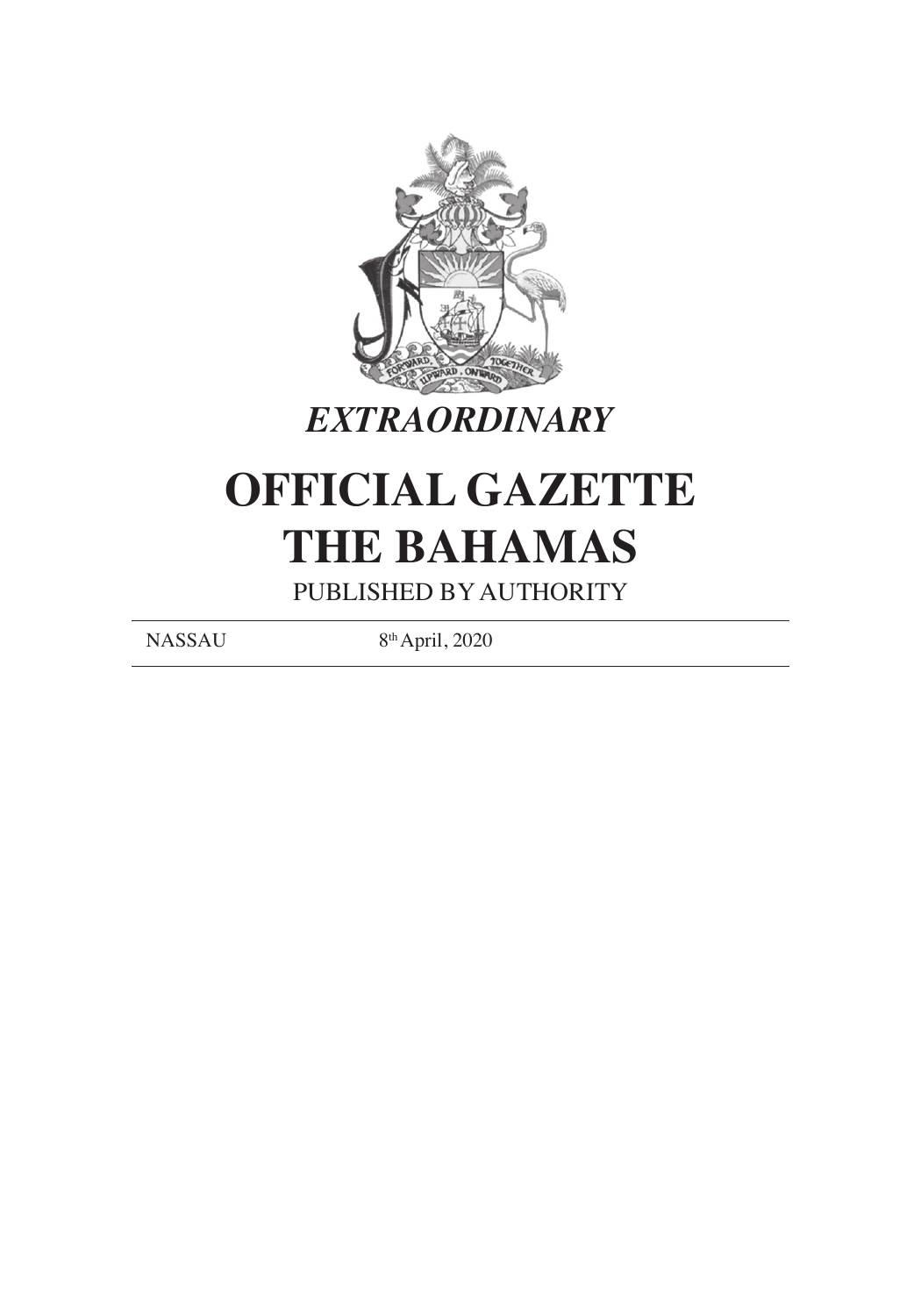

## *EXTRAORDINARY*

# **OFFICIAL GAZETTE THE BAHAMAS**

PUBLISHED BY AUTHORITY

NASSAU 8th April, 2020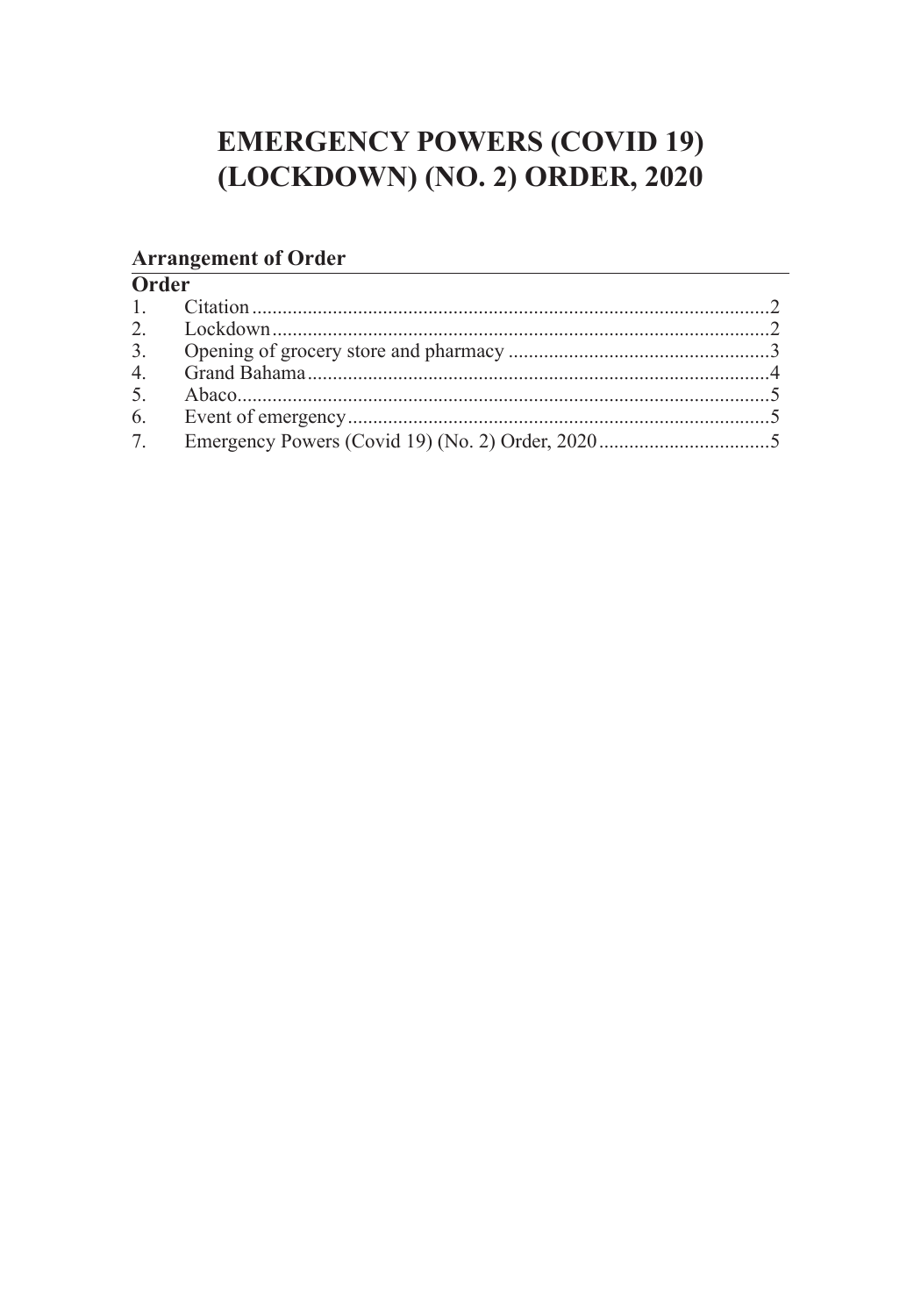## **EMERGENCY POWERS (COVID 19)** (LOCKDOWN) (NO. 2) ORDER, 2020

## **Arrangement of Order**<br>Order

| vuu |  |
|-----|--|
|     |  |
|     |  |
|     |  |
|     |  |
|     |  |
|     |  |
| 7.  |  |
|     |  |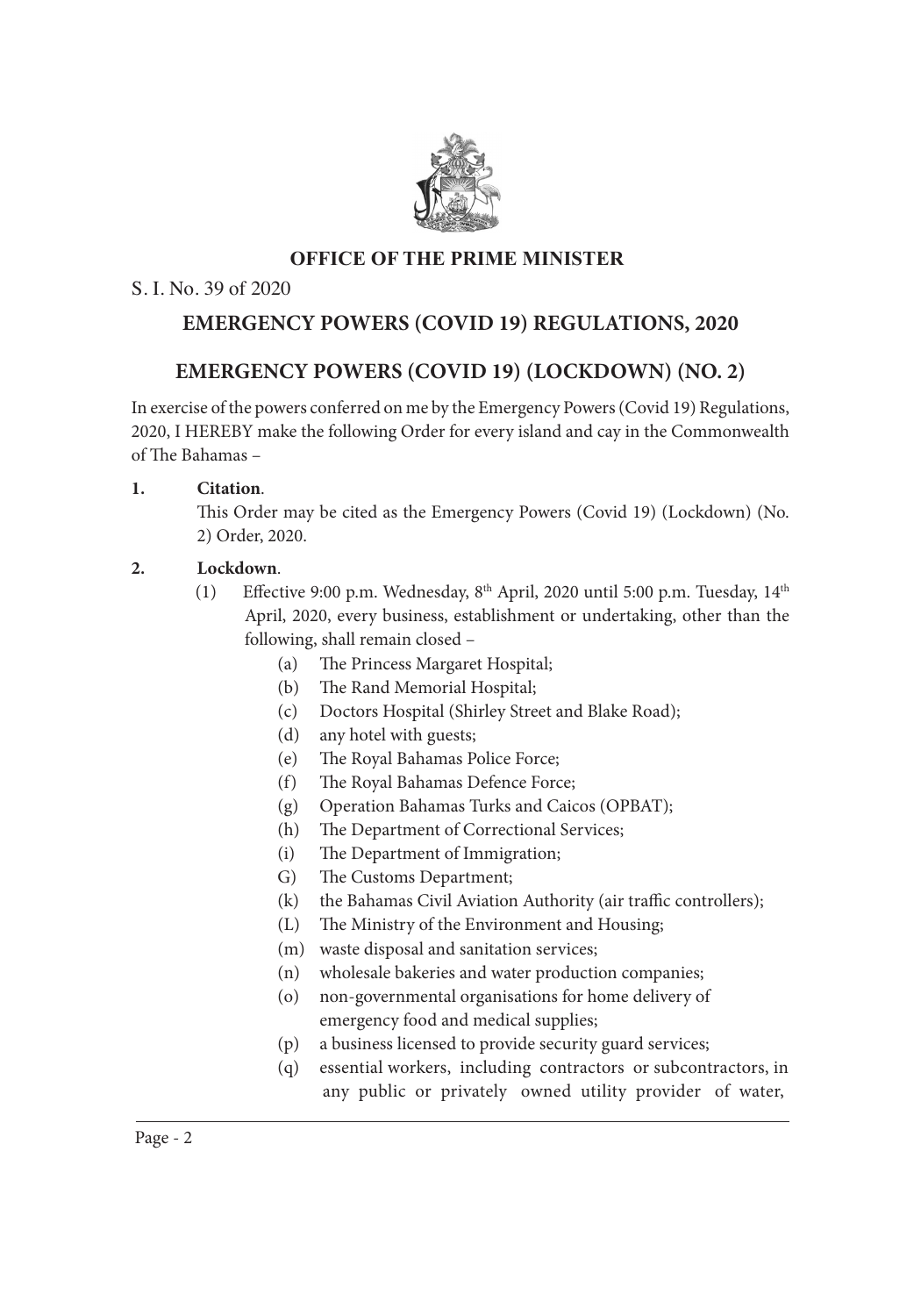

#### **OFFICE OF THE PRIME MINISTER**  $\mathcal{S}$

#### S. I. No. 39 of 2020

## **EMERGENCY POWERS (COVID 19) REGULATIONS, 2020**

### **EMERGENCY POWERS (COVID 19) (LOCKDOWN) (NO. 2)**

In exercise of the powers conferred on me by the Emergency Powers (Covid 19) Regulations, 2020, I HEREBY make the following Order for every island and cay in the Commonwealth of The Bahamas –

#### **1. Citation**. **AND WHEREAS EMANCIPATION DAY, the 1st Monday in August has been considered by Day, the 1st Monday in August has been considered by**  $\mathcal{A}$

This Order may be cited as the Emergency Powers (Covid 19) (Lockdown) (No. 2) Order, 2020.  $\text{MSE}$ ,  $\angle 020$ .

#### 2. **Lockdown**.

- (1) Effective 9:00 p.m. Wednesday, 8<sup>th</sup> April, 2020 until 5:00 p.m. Tuesday, 14<sup>th</sup> April, 2020, every business, establishment or undertaking, other than the following, shall remain closed –
	- (a) The Princess Margaret Hospital;
- (b) The Rand Memorial Hospital; **1. Citation.**
- (c) Doctors Hospital (Shirley Street and Blake Road);
	- $(d)$  any hotel with guests;
- (e) The Royal Bahamas Police Force; **2. Opening of shops on Emancipation Day, 2019.**
- (f) The Royal Bahamas Defence Force;
- (g) Operation Bahamas Turks and Caicos (OPBAT);
- (h) The Department of Correctional Services;
	- (i) The Department of Immigration;
	- G) The Customs Department;
	- (k) the Bahamas Civil Aviation Authority (air traffic controllers);
	- (L) The Ministry of the Environment and Housing;
	- (m) waste disposal and sanitation services;
	- (n) wholesale bakeries and water production companies;
	- (o) non-governmental organisations for home delivery of emergency food and medical supplies;
	- (p) a business licensed to provide security guard services;
	- (q) essential workers, including contractors or subcontractors, in any public or privately owned utility provider of water,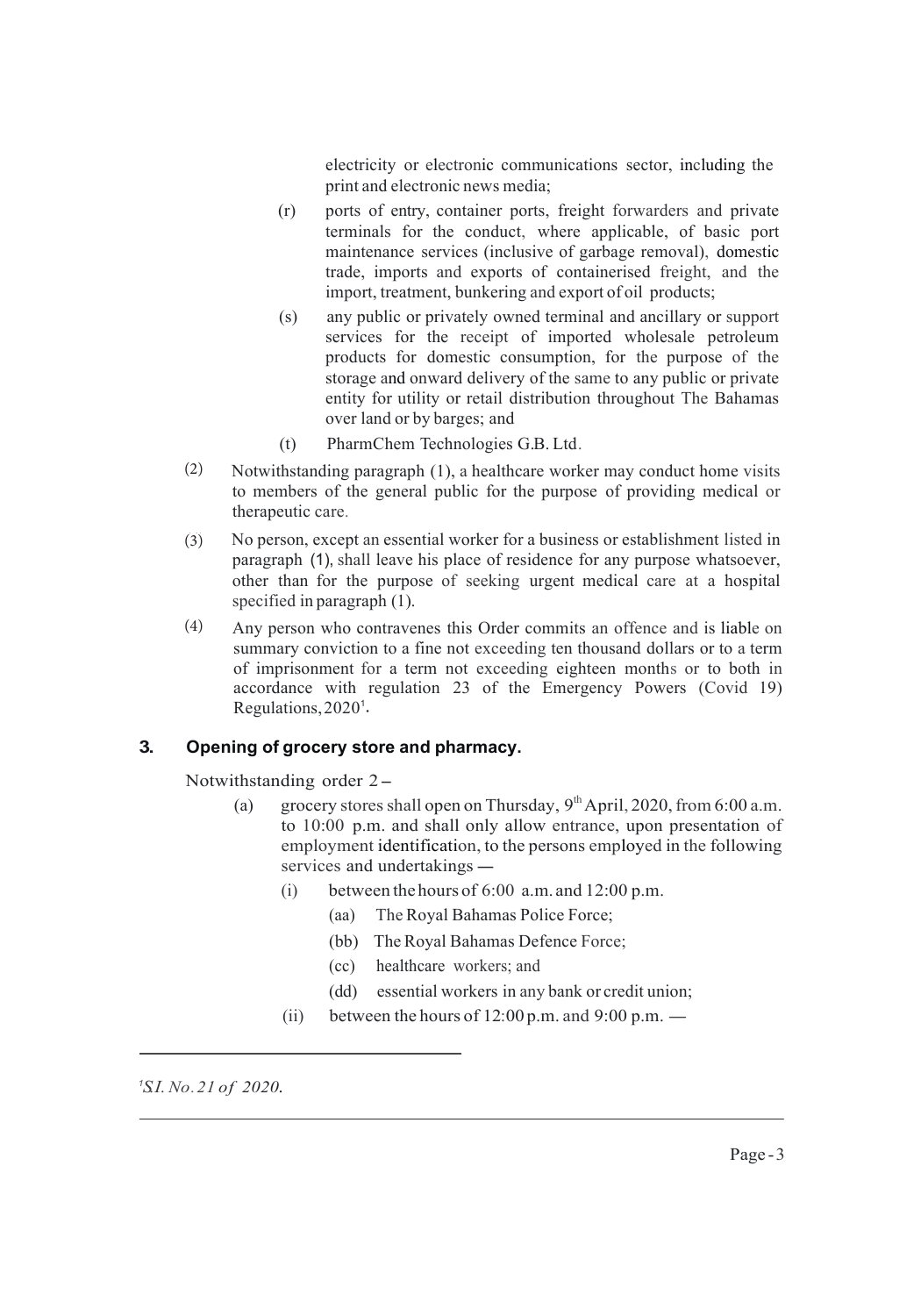electricity or electronic communications sector, including the print and electronic news media;

- (r) ports of entry, container ports, freight forwarders and private terminals for the conduct, where applicable, of basic port maintenance services (inclusive of garbage removal), domestic trade, imports and exports of containerised freight, and the import, treatment, bunkering and export of oil products;
- (s) any public or privately owned terminal and ancillary or support services for the receipt of imported wholesale petroleum products for domestic consumption, for the purpose of the storage and onward delivery of the same to any public or private entity for utility or retail distribution throughout The Bahamas over land or by barges; and
- (t) PharmChem Technologies G.B. Ltd.
- Notwithstanding paragraph (1), a healthcare worker may conduct home visits to members of the general public for the purpose of providing medical or therapeutic care. (2)
- No person, except an essential worker for a business or establishment listed in paragraph (1), shall leave his place of residence for any purpose whatsoever, other than for the purpose of seeking urgent medical care at a hospital specified in paragraph (1). (3)
- Regulations, 2020<sup>1</sup>. Any person who contravenes this Order commits an offence and is liable on summary conviction to a fine not exceeding ten thousand dollars or to a term of imprisonment for a term not exceeding eighteen months or to both in accordance with regulation 23 of the Emergency Powers (Covid 19) (4)

#### **3. Opening of grocery store and pharmacy.**

Notwithstanding order 2-

- (a) grocery stores shall open on Thursday,  $9<sup>th</sup>$  April, 2020, from 6:00 a.m. to 10:00 p.m. and shall only allow entrance, upon presentation of to 10.00 p.m. and shall only allow entrance, upon presentation of<br>employment identification, to the persons employed in the following<br>services and undertakings –
	- (i) between the hours of  $6:00$  a.m. and  $12:00$  p.m.
		- (aa) The Royal Bahamas Police Force;
		- (bb) The Royal Bahamas Defence Force;
		- (cc) healthcare workers; and
		- (dd) essential workers in any bank or credit union;
	- (ii) between the hours of  $12:00$  p.m. and  $9:00$  p.m.  $-$

*<sup>1</sup>SI. No. 21 of 2020.*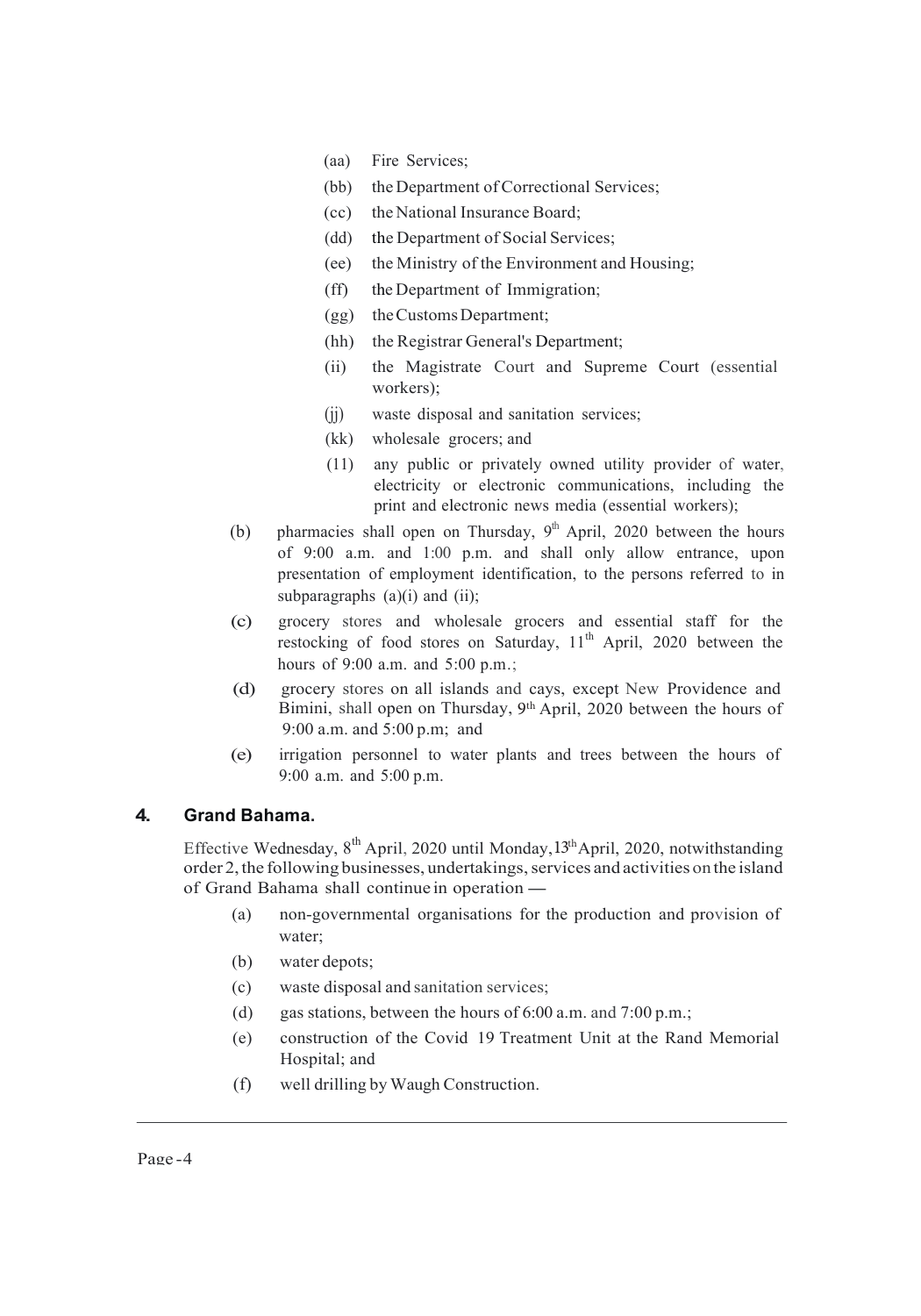- (aa) Fire Services;
- (bb) the Department of Correctional Services;
- (cc) the National Insurance Board;
- (dd) the Department of Social Services;
- (ee) the Ministry of the Environment and Housing;
- (ff) the Department of Immigration;
- (gg) theCustomsDepartment;
- (hh) the Registrar General's Department;
- (ii) the Magistrate Court and Supreme Court (essential workers);
- (jj) waste disposal and sanitation services;
- (kk) wholesale grocers; and
- (11) any public or privately owned utility provider of water, electricity or electronic communications, including the print and electronic news media (essential workers);
- (b) pharmacies shall open on Thursday,  $9<sup>th</sup>$  April, 2020 between the hours of 9:00 a.m. and 1:00 p.m. and shall only allow entrance, upon presentation of employment identification, to the persons referred to in subparagraphs  $(a)(i)$  and  $(ii)$ ;
- (c) grocery stores and wholesale grocers and essential staff for the restocking of food stores on Saturday,  $11<sup>th</sup>$  April, 2020 between the hours of 9:00 a.m. and 5:00 p.m.;
- Bimini, shall open on Thursday, 9<sup>th</sup> April, 2020 between the hours of (d) grocery stores on all islands and cays, except New Providence and 9:00 a.m. and 5:00 p.m; and
- (e) irrigation personnel to water plants and trees between the hours of 9:00 a.m. and 5:00 p.m.

#### **4. Grand Bahama.**

Effective Wednesday, 8<sup>th</sup> April, 2020 until Monday, 13<sup>th</sup> April, 2020, notwithstanding order 2, the following businesses, undertakings, services and activities on the island Effective Wednesday,  $8^{\text{th}}$  April, 2020 until Monday<br>order 2, the following businesses, undertakings, set<br>of Grand Bahama shall continue in operation —

- (a) non-governmental organisations for the production and provision of water;
- (b) water depots;
- (c) waste disposal and sanitation services;
- (d) gas stations, between the hours of 6:00 a.m. and 7:00 p.m.;
- (e) construction of the Covid 19 Treatment Unit at the Rand Memorial Hospital; and
- (f) well drilling by Waugh Construction.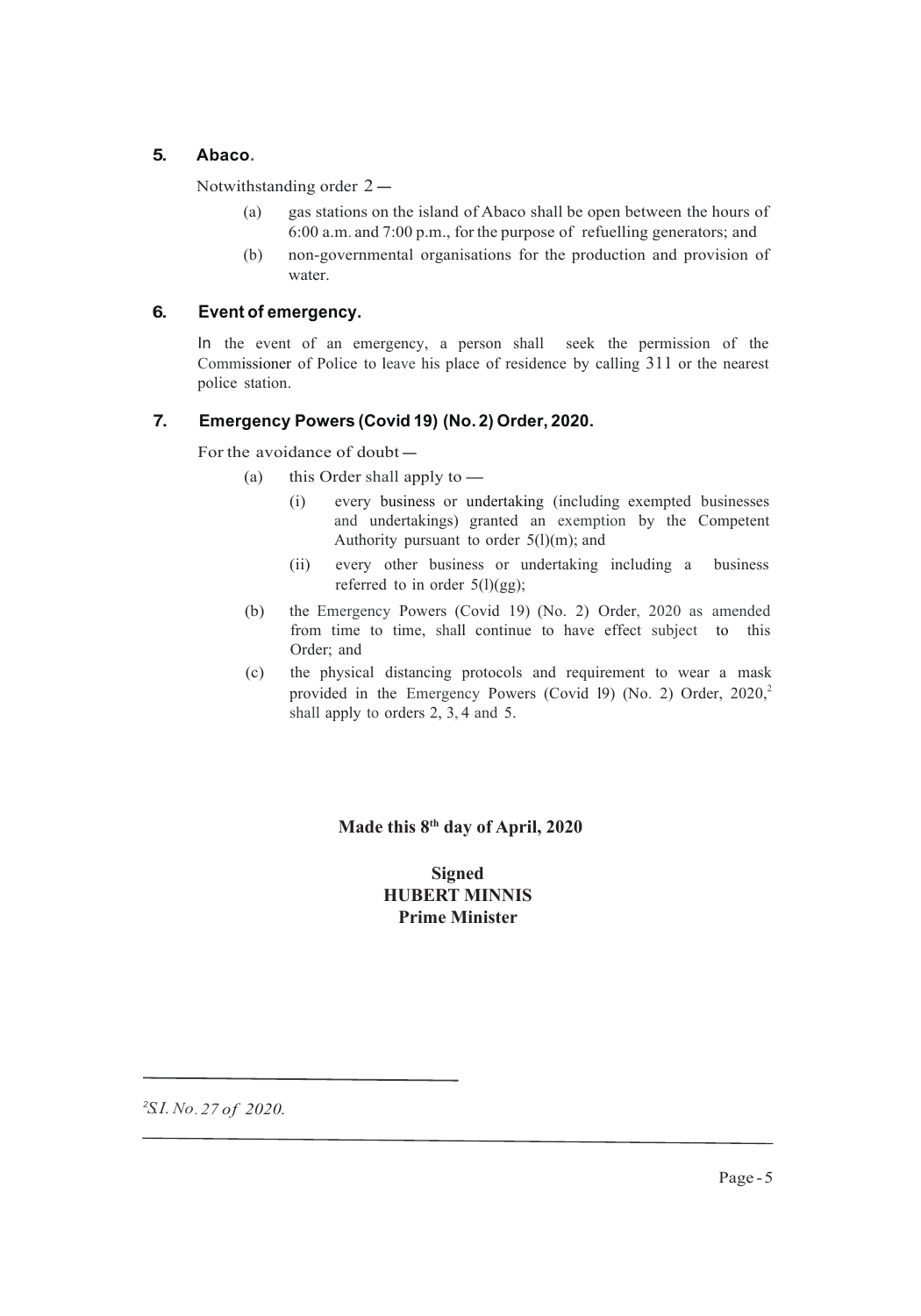#### **5. Abaco.**

Notwithstanding order  $2-$ <br>(a) gas stations on

- (a) gas stations on the island of Abaco shall be open between the hours of 6:00 a.m. and 7:00 p.m., for the purpose of refuelling generators; and
	- (b) non-governmental organisations for the production and provision of water.

#### **6. Event of emergency. 5. Abaco.**

In the event of an emergency, a person shall seek the permission of the Commissioner of Police to leave his place of residence by calling  $311$  or the nearest police station.  $\mathbf{h}$ 

#### **7.** Emergency Powers (Covid 19) (No. 2) Order, 2020.

**7. Emergency Powers (Covid 1 For the avoidance of doubt** 

- (a) this Order shall apply to  $-$ <br>(i) every business or une
- (i) every business or undertaking (including exempted businesses and undertakings) granted an exemption by the Competent Authority pursuant to order 5(l)(m); and
- (ii) every other business or undertaking including a business referred to in order  $5(1)(gg)$ ;
	- (b) the Emergency Powers (Covid 19) (No. 2) Order, 2020 as amended from time to time, shall continue to have effect subject to this Order; and  $Order; and$ 
		- (c) the physical distancing protocols and requirement to wear a mask provided in the Emergency Powers (Covid 19) (No. 2) Order,  $2020$ , shall apply to orders  $2, 3, 4$  and  $5$ .

#### **Made this 8<sup>th</sup> day of April, 2020**

#### **Signed HUBERT MINNIS Prime Minister**

*2 S.I.No.27 o f 2020.*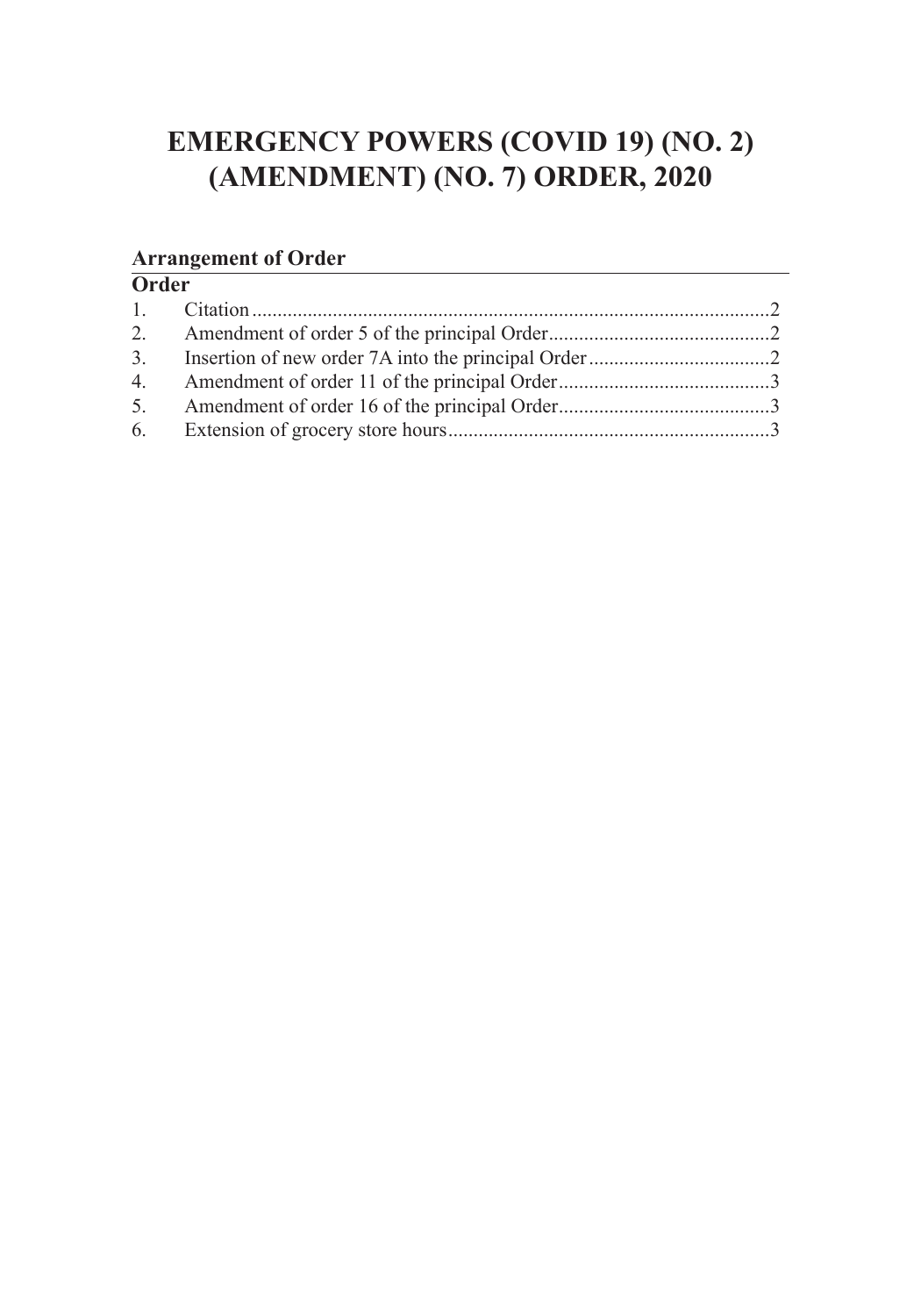## **EMERGENCY POWERS (COVID 19) (NO. 2) (AMENDMENT) (NO. 7) ORDER, 2020**

#### **Arrangement of Order**

| Order |  |  |
|-------|--|--|
|       |  |  |
|       |  |  |
|       |  |  |
|       |  |  |
|       |  |  |
|       |  |  |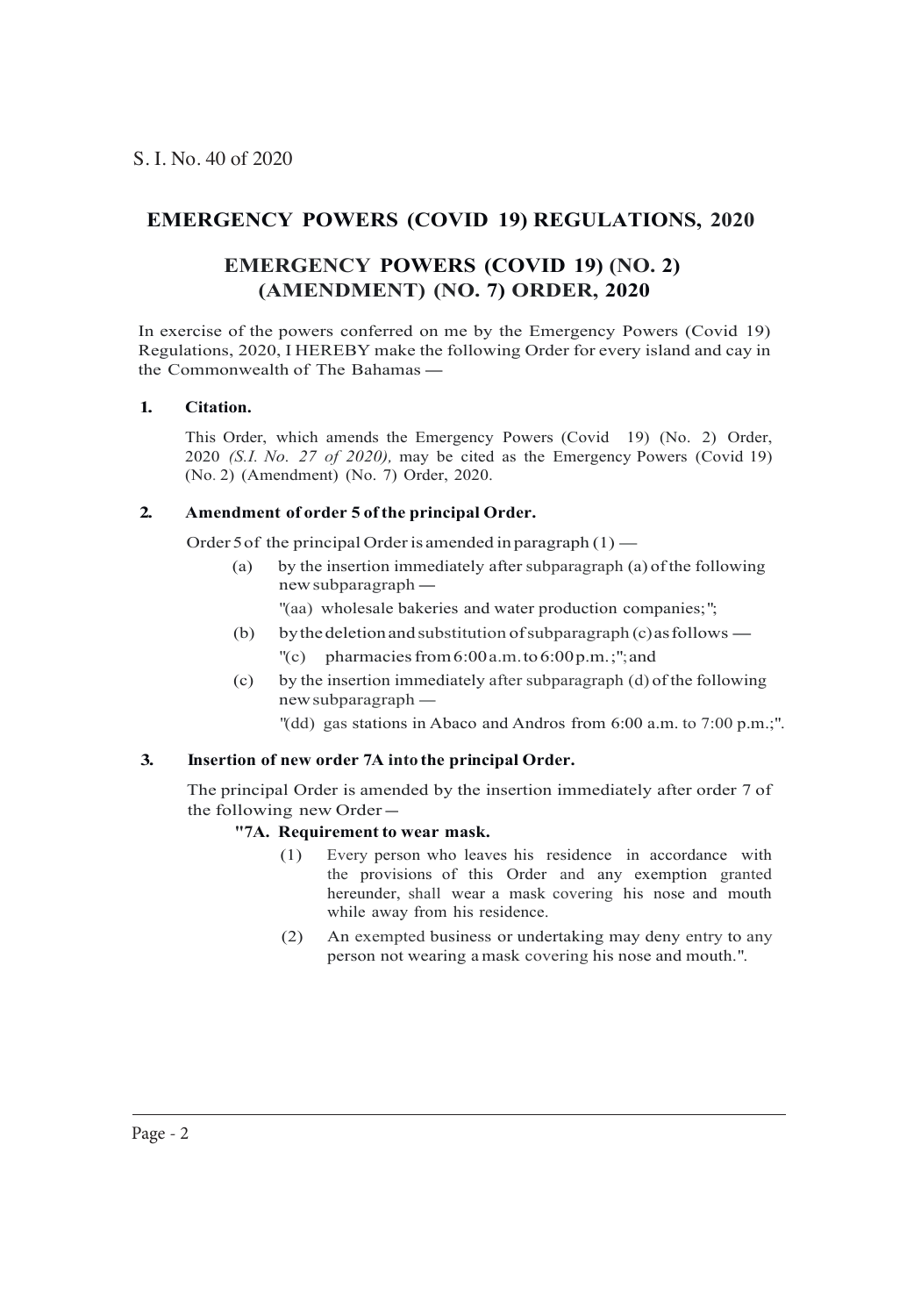### **EMERGENCY POWERS (COVID 19) REGULATIONS, 2020**

### **EMERGENCY POWERS (COVID 19) (NO. 2) (AMENDMENT) (NO. 7) ORDER, 2020**

In exercise of the powers conferred on me by the Emergency Powers (Covid 19)<br>Regulations, 2020, IHEREBY make the following Order for every island and cay in<br>the Commonwealth of The Bahamas — Regulations, 2020, I HEREBY make the following Order for every island and cay in

#### **1. Citation.**

This Order, which amends the Emergency Powers (Covid 19) (No. 2) Order, 2020 *(S.I. No. 27 of 2020),* may be cited as the Emergency Powers (Covid 19) (No. 2) (Amendment) (No. 7) Order, 2020.

#### **2. Amendment of order 5 ofthe principal Order.**

Order 5 of the principal Order is amended in paragraph  $(1)$  — (a) by the insertion immediately after subparagraph (a)

(a) by the insertion immediately after subparagraph (a) of the following e principal Order is an<br>by the insertion immed<br>new subparagraph

"(aa) wholesale bakeries and water production companies;";

- mew subparagraph —<br>
(b) wholesale bakeries and water production companies;";<br>
(b) by the deletion and substitution of subparagraph (c) as follows —<br>
(c) pharmacies from 6:00 a.m. to 6:00 p.m.;"; and
	- pharmacies from  $6:00$  a.m.to  $6:00$  p.m.;"; and
- (c) by the insertion immediately after subparagraph (d) of the following new subparagraph -
	- "(dd) gas stations in Abaco and Andros from 6:00 a.m. to 7:00 p.m.;".

#### **3. Insertion of new order 7A into the principal Order.**

The principal Order is amended by the insertion immediately after order 7 of the following new Order-

#### **"7A. Requirement to wear mask.**

- (1) Every person who leaves his residence in accordance with the provisions of this Order and any exemption granted hereunder, shall wear a mask covering his nose and mouth while away from his residence.
- (2) An exempted business or undertaking may deny entry to any person not wearing a mask covering his nose and mouth.".